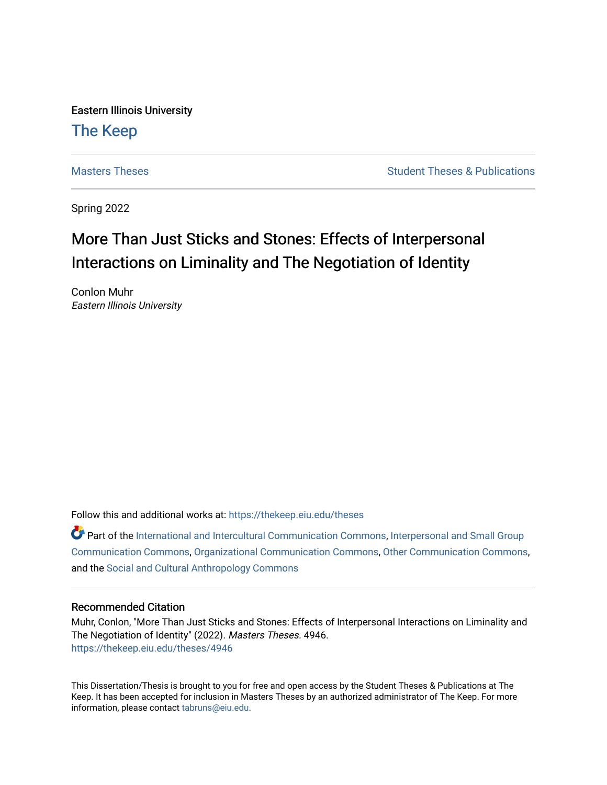Eastern Illinois University

# [The Keep](https://thekeep.eiu.edu/)

[Masters Theses](https://thekeep.eiu.edu/theses) **Student Theses & Publications** Student Theses & Publications

Spring 2022

# More Than Just Sticks and Stones: Effects of Interpersonal Interactions on Liminality and The Negotiation of Identity

Conlon Muhr Eastern Illinois University

Follow this and additional works at: [https://thekeep.eiu.edu/theses](https://thekeep.eiu.edu/theses?utm_source=thekeep.eiu.edu%2Ftheses%2F4946&utm_medium=PDF&utm_campaign=PDFCoverPages)

Part of the [International and Intercultural Communication Commons,](https://network.bepress.com/hgg/discipline/331?utm_source=thekeep.eiu.edu%2Ftheses%2F4946&utm_medium=PDF&utm_campaign=PDFCoverPages) [Interpersonal and Small Group](https://network.bepress.com/hgg/discipline/332?utm_source=thekeep.eiu.edu%2Ftheses%2F4946&utm_medium=PDF&utm_campaign=PDFCoverPages)  [Communication Commons](https://network.bepress.com/hgg/discipline/332?utm_source=thekeep.eiu.edu%2Ftheses%2F4946&utm_medium=PDF&utm_campaign=PDFCoverPages), [Organizational Communication Commons](https://network.bepress.com/hgg/discipline/335?utm_source=thekeep.eiu.edu%2Ftheses%2F4946&utm_medium=PDF&utm_campaign=PDFCoverPages), [Other Communication Commons,](https://network.bepress.com/hgg/discipline/339?utm_source=thekeep.eiu.edu%2Ftheses%2F4946&utm_medium=PDF&utm_campaign=PDFCoverPages) and the [Social and Cultural Anthropology Commons](https://network.bepress.com/hgg/discipline/323?utm_source=thekeep.eiu.edu%2Ftheses%2F4946&utm_medium=PDF&utm_campaign=PDFCoverPages)

## Recommended Citation

Muhr, Conlon, "More Than Just Sticks and Stones: Effects of Interpersonal Interactions on Liminality and The Negotiation of Identity" (2022). Masters Theses. 4946. [https://thekeep.eiu.edu/theses/4946](https://thekeep.eiu.edu/theses/4946?utm_source=thekeep.eiu.edu%2Ftheses%2F4946&utm_medium=PDF&utm_campaign=PDFCoverPages) 

This Dissertation/Thesis is brought to you for free and open access by the Student Theses & Publications at The Keep. It has been accepted for inclusion in Masters Theses by an authorized administrator of The Keep. For more information, please contact [tabruns@eiu.edu](mailto:tabruns@eiu.edu).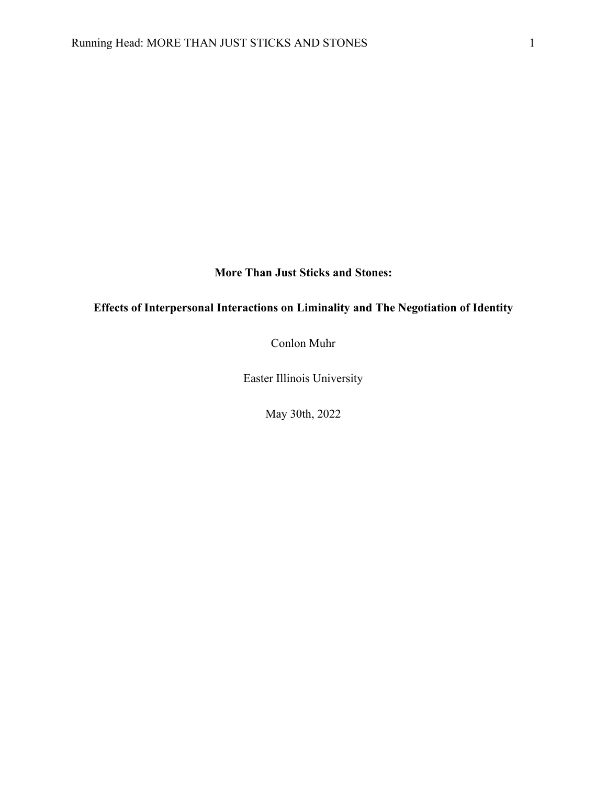## **More Than Just Sticks and Stones:**

## **Effects of Interpersonal Interactions on Liminality and The Negotiation of Identity**

Conlon Muhr

Easter Illinois University

May 30th, 2022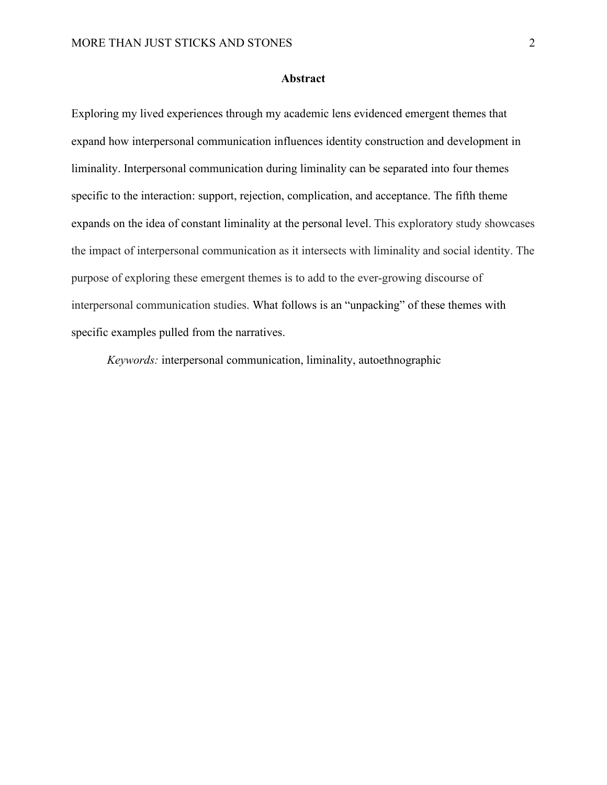## **Abstract**

Exploring my lived experiences through my academic lens evidenced emergent themes that expand how interpersonal communication influences identity construction and development in liminality. Interpersonal communication during liminality can be separated into four themes specific to the interaction: support, rejection, complication, and acceptance. The fifth theme expands on the idea of constant liminality at the personal level. This exploratory study showcases the impact of interpersonal communication as it intersects with liminality and social identity. The purpose of exploring these emergent themes is to add to the ever-growing discourse of interpersonal communication studies. What follows is an "unpacking" of these themes with specific examples pulled from the narratives.

*Keywords:* interpersonal communication, liminality, autoethnographic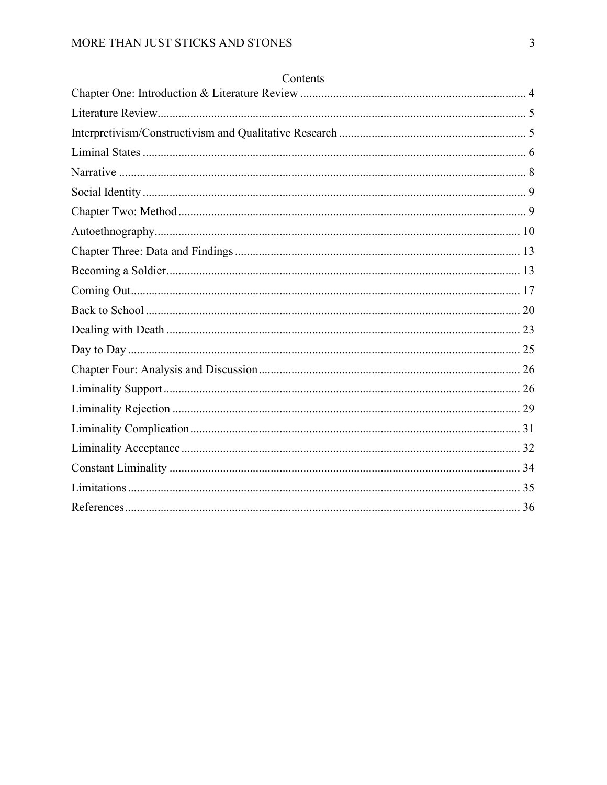## Contents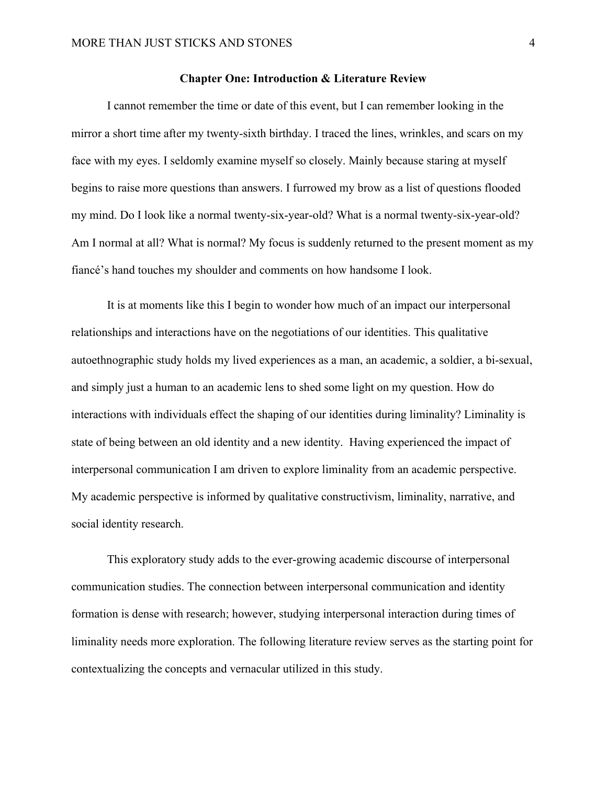## **Chapter One: Introduction & Literature Review**

<span id="page-4-0"></span>I cannot remember the time or date of this event, but I can remember looking in the mirror a short time after my twenty-sixth birthday. I traced the lines, wrinkles, and scars on my face with my eyes. I seldomly examine myself so closely. Mainly because staring at myself begins to raise more questions than answers. I furrowed my brow as a list of questions flooded my mind. Do I look like a normal twenty-six-year-old? What is a normal twenty-six-year-old? Am I normal at all? What is normal? My focus is suddenly returned to the present moment as my fiancé's hand touches my shoulder and comments on how handsome I look.

It is at moments like this I begin to wonder how much of an impact our interpersonal relationships and interactions have on the negotiations of our identities. This qualitative autoethnographic study holds my lived experiences as a man, an academic, a soldier, a bi-sexual, and simply just a human to an academic lens to shed some light on my question. How do interactions with individuals effect the shaping of our identities during liminality? Liminality is state of being between an old identity and a new identity. Having experienced the impact of interpersonal communication I am driven to explore liminality from an academic perspective. My academic perspective is informed by qualitative constructivism, liminality, narrative, and social identity research.

This exploratory study adds to the ever-growing academic discourse of interpersonal communication studies. The connection between interpersonal communication and identity formation is dense with research; however, studying interpersonal interaction during times of liminality needs more exploration. The following literature review serves as the starting point for contextualizing the concepts and vernacular utilized in this study.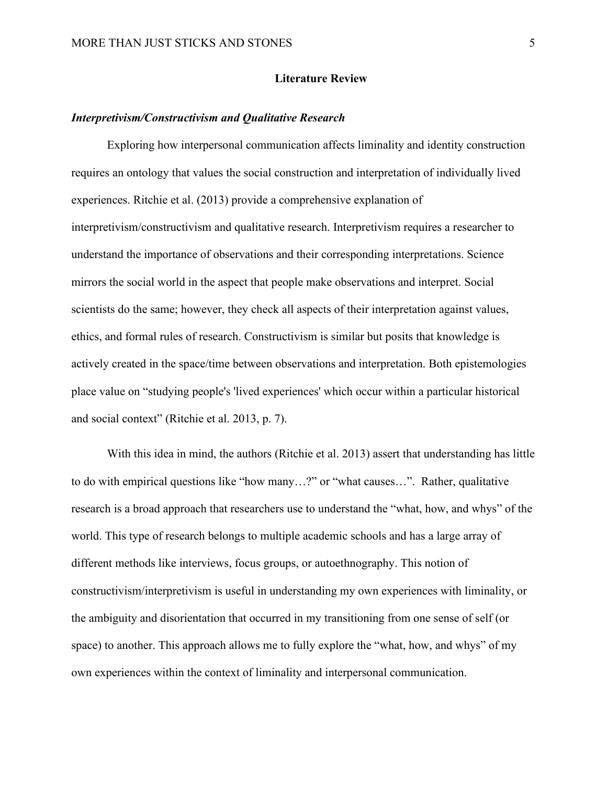## **Literature Review**

## <span id="page-5-1"></span><span id="page-5-0"></span>*Interpretivism/Constructivism and Qualitative Research*

Exploring how interpersonal communication affects liminality and identity construction requires an ontology that values the social construction and interpretation of individually lived experiences. Ritchie et al. (2013) provide a comprehensive explanation of interpretivism/constructivism and qualitative research. Interpretivism requires a researcher to understand the importance of observations and their corresponding interpretations. Science mirrors the social world in the aspect that people make observations and interpret. Social scientists do the same; however, they check all aspects of their interpretation against values, ethics, and formal rules of research. Constructivism is similar but posits that knowledge is actively created in the space/time between observations and interpretation. Both epistemologies place value on "studying people's 'lived experiences' which occur within a particular historical and social context" (Ritchie et al. 2013, p. 7).

With this idea in mind, the authors (Ritchie et al. 2013) assert that understanding has little to do with empirical questions like "how many…?" or "what causes…". Rather, qualitative research is a broad approach that researchers use to understand the "what, how, and whys" of the world. This type of research belongs to multiple academic schools and has a large array of different methods like interviews, focus groups, or autoethnography. This notion of constructivism/interpretivism is useful in understanding my own experiences with liminality, or the ambiguity and disorientation that occurred in my transitioning from one sense of self (or space) to another. This approach allows me to fully explore the "what, how, and whys" of my own experiences within the context of liminality and interpersonal communication.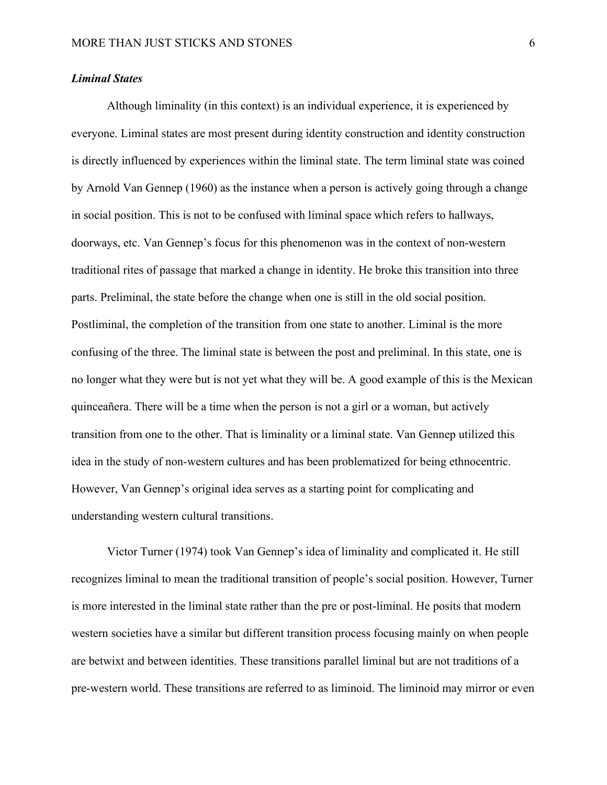## <span id="page-6-0"></span>*Liminal States*

Although liminality (in this context) is an individual experience, it is experienced by everyone. Liminal states are most present during identity construction and identity construction is directly influenced by experiences within the liminal state. The term liminal state was coined by Arnold Van Gennep (1960) as the instance when a person is actively going through a change in social position. This is not to be confused with liminal space which refers to hallways, doorways, etc. Van Gennep's focus for this phenomenon was in the context of non-western traditional rites of passage that marked a change in identity. He broke this transition into three parts. Preliminal, the state before the change when one is still in the old social position. Postliminal, the completion of the transition from one state to another. Liminal is the more confusing of the three. The liminal state is between the post and preliminal. In this state, one is no longer what they were but is not yet what they will be. A good example of this is the Mexican quinceañera. There will be a time when the person is not a girl or a woman, but actively transition from one to the other. That is liminality or a liminal state. Van Gennep utilized this idea in the study of non-western cultures and has been problematized for being ethnocentric. However, Van Gennep's original idea serves as a starting point for complicating and understanding western cultural transitions.

Victor Turner (1974) took Van Gennep's idea of liminality and complicated it. He still recognizes liminal to mean the traditional transition of people's social position. However, Turner is more interested in the liminal state rather than the pre or post-liminal. He posits that modern western societies have a similar but different transition process focusing mainly on when people are betwixt and between identities. These transitions parallel liminal but are not traditions of a pre-western world. These transitions are referred to as liminoid. The liminoid may mirror or even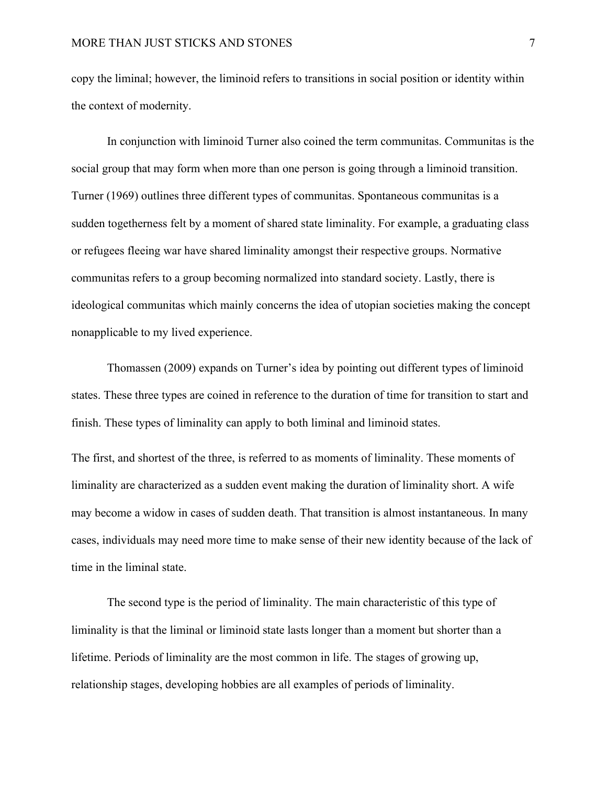copy the liminal; however, the liminoid refers to transitions in social position or identity within the context of modernity.

In conjunction with liminoid Turner also coined the term communitas. Communitas is the social group that may form when more than one person is going through a liminoid transition. Turner (1969) outlines three different types of communitas. Spontaneous communitas is a sudden togetherness felt by a moment of shared state liminality. For example, a graduating class or refugees fleeing war have shared liminality amongst their respective groups. Normative communitas refers to a group becoming normalized into standard society. Lastly, there is ideological communitas which mainly concerns the idea of utopian societies making the concept nonapplicable to my lived experience.

Thomassen (2009) expands on Turner's idea by pointing out different types of liminoid states. These three types are coined in reference to the duration of time for transition to start and finish. These types of liminality can apply to both liminal and liminoid states.

The first, and shortest of the three, is referred to as moments of liminality. These moments of liminality are characterized as a sudden event making the duration of liminality short. A wife may become a widow in cases of sudden death. That transition is almost instantaneous. In many cases, individuals may need more time to make sense of their new identity because of the lack of time in the liminal state.

The second type is the period of liminality. The main characteristic of this type of liminality is that the liminal or liminoid state lasts longer than a moment but shorter than a lifetime. Periods of liminality are the most common in life. The stages of growing up, relationship stages, developing hobbies are all examples of periods of liminality.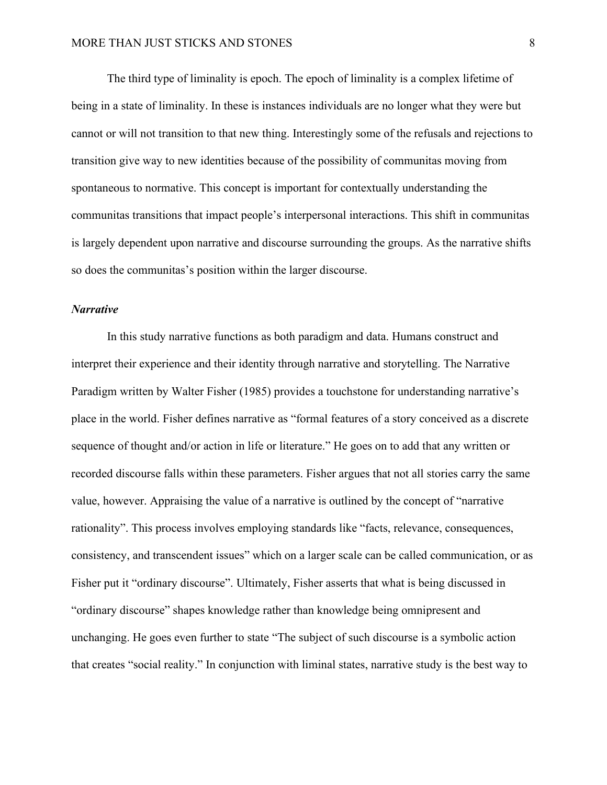The third type of liminality is epoch. The epoch of liminality is a complex lifetime of being in a state of liminality. In these is instances individuals are no longer what they were but cannot or will not transition to that new thing. Interestingly some of the refusals and rejections to transition give way to new identities because of the possibility of communitas moving from spontaneous to normative. This concept is important for contextually understanding the communitas transitions that impact people's interpersonal interactions. This shift in communitas is largely dependent upon narrative and discourse surrounding the groups. As the narrative shifts so does the communitas's position within the larger discourse.

## <span id="page-8-0"></span>*Narrative*

In this study narrative functions as both paradigm and data. Humans construct and interpret their experience and their identity through narrative and storytelling. The Narrative Paradigm written by Walter Fisher (1985) provides a touchstone for understanding narrative's place in the world. Fisher defines narrative as "formal features of a story conceived as a discrete sequence of thought and/or action in life or literature." He goes on to add that any written or recorded discourse falls within these parameters. Fisher argues that not all stories carry the same value, however. Appraising the value of a narrative is outlined by the concept of "narrative rationality". This process involves employing standards like "facts, relevance, consequences, consistency, and transcendent issues" which on a larger scale can be called communication, or as Fisher put it "ordinary discourse". Ultimately, Fisher asserts that what is being discussed in "ordinary discourse" shapes knowledge rather than knowledge being omnipresent and unchanging. He goes even further to state "The subject of such discourse is a symbolic action that creates "social reality." In conjunction with liminal states, narrative study is the best way to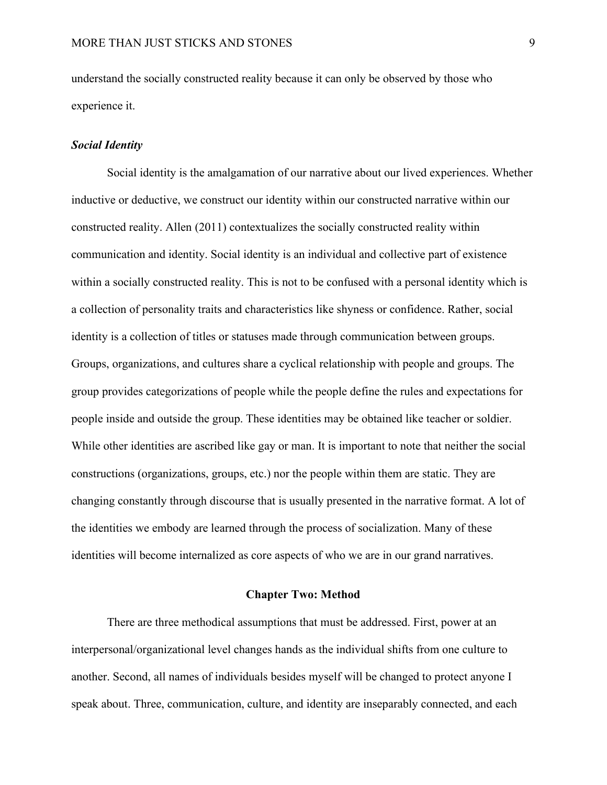understand the socially constructed reality because it can only be observed by those who experience it.

## <span id="page-9-0"></span>*Social Identity*

Social identity is the amalgamation of our narrative about our lived experiences. Whether inductive or deductive, we construct our identity within our constructed narrative within our constructed reality. Allen (2011) contextualizes the socially constructed reality within communication and identity. Social identity is an individual and collective part of existence within a socially constructed reality. This is not to be confused with a personal identity which is a collection of personality traits and characteristics like shyness or confidence. Rather, social identity is a collection of titles or statuses made through communication between groups. Groups, organizations, and cultures share a cyclical relationship with people and groups. The group provides categorizations of people while the people define the rules and expectations for people inside and outside the group. These identities may be obtained like teacher or soldier. While other identities are ascribed like gay or man. It is important to note that neither the social constructions (organizations, groups, etc.) nor the people within them are static. They are changing constantly through discourse that is usually presented in the narrative format. A lot of the identities we embody are learned through the process of socialization. Many of these identities will become internalized as core aspects of who we are in our grand narratives.

## **Chapter Two: Method**

<span id="page-9-1"></span>There are three methodical assumptions that must be addressed. First, power at an interpersonal/organizational level changes hands as the individual shifts from one culture to another. Second, all names of individuals besides myself will be changed to protect anyone I speak about. Three, communication, culture, and identity are inseparably connected, and each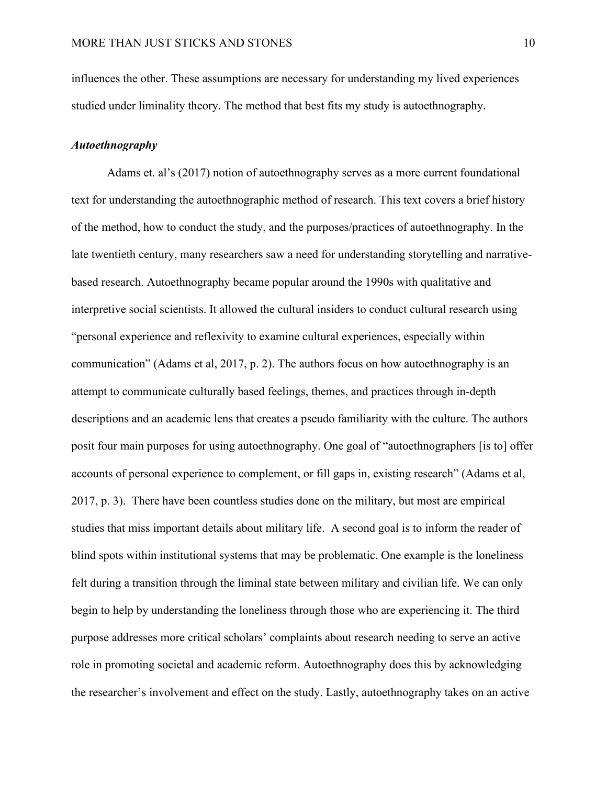influences the other. These assumptions are necessary for understanding my lived experiences studied under liminality theory. The method that best fits my study is autoethnography.

## <span id="page-10-0"></span>*Autoethnography*

Adams et. al's (2017) notion of autoethnography serves as a more current foundational text for understanding the autoethnographic method of research. This text covers a brief history of the method, how to conduct the study, and the purposes/practices of autoethnography. In the late twentieth century, many researchers saw a need for understanding storytelling and narrativebased research. Autoethnography became popular around the 1990s with qualitative and interpretive social scientists. It allowed the cultural insiders to conduct cultural research using "personal experience and reflexivity to examine cultural experiences, especially within communication" (Adams et al, 2017, p. 2). The authors focus on how autoethnography is an attempt to communicate culturally based feelings, themes, and practices through in-depth descriptions and an academic lens that creates a pseudo familiarity with the culture. The authors posit four main purposes for using autoethnography. One goal of "autoethnographers [is to] offer accounts of personal experience to complement, or fill gaps in, existing research" (Adams et al, 2017, p. 3). There have been countless studies done on the military, but most are empirical studies that miss important details about military life. A second goal is to inform the reader of blind spots within institutional systems that may be problematic. One example is the loneliness felt during a transition through the liminal state between military and civilian life. We can only begin to help by understanding the loneliness through those who are experiencing it. The third purpose addresses more critical scholars' complaints about research needing to serve an active role in promoting societal and academic reform. Autoethnography does this by acknowledging the researcher's involvement and effect on the study. Lastly, autoethnography takes on an active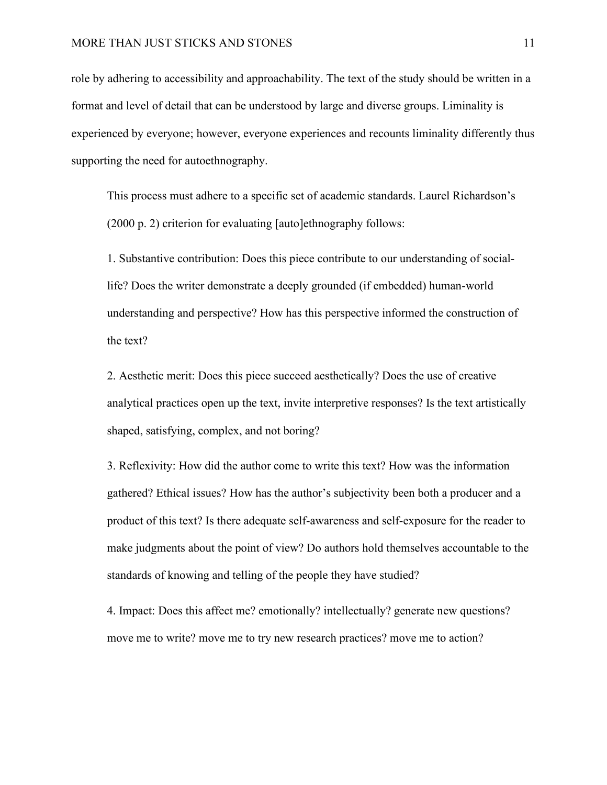role by adhering to accessibility and approachability. The text of the study should be written in a format and level of detail that can be understood by large and diverse groups. Liminality is experienced by everyone; however, everyone experiences and recounts liminality differently thus supporting the need for autoethnography.

This process must adhere to a specific set of academic standards. Laurel Richardson's (2000 p. 2) criterion for evaluating [auto]ethnography follows:

1. Substantive contribution: Does this piece contribute to our understanding of sociallife? Does the writer demonstrate a deeply grounded (if embedded) human-world understanding and perspective? How has this perspective informed the construction of the text?

2. Aesthetic merit: Does this piece succeed aesthetically? Does the use of creative analytical practices open up the text, invite interpretive responses? Is the text artistically shaped, satisfying, complex, and not boring?

3. Reflexivity: How did the author come to write this text? How was the information gathered? Ethical issues? How has the author's subjectivity been both a producer and a product of this text? Is there adequate self-awareness and self-exposure for the reader to make judgments about the point of view? Do authors hold themselves accountable to the standards of knowing and telling of the people they have studied?

4. Impact: Does this affect me? emotionally? intellectually? generate new questions? move me to write? move me to try new research practices? move me to action?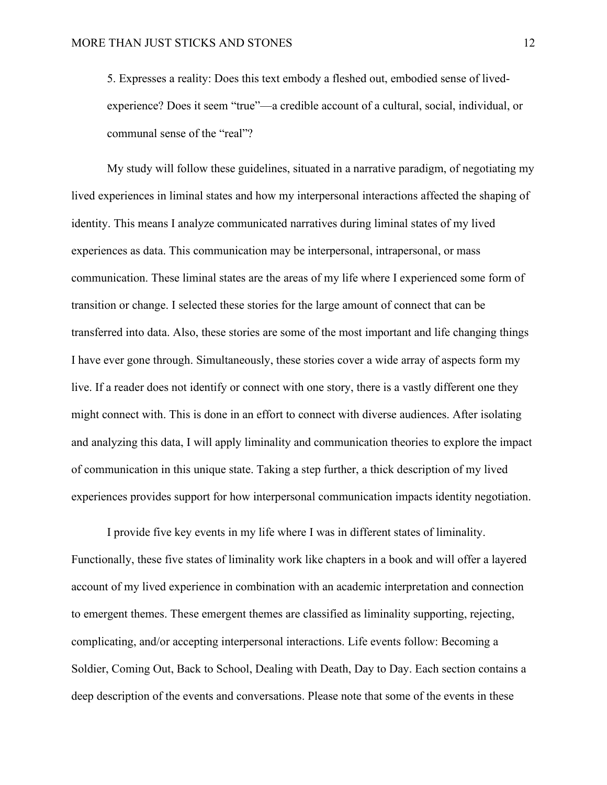5. Expresses a reality: Does this text embody a fleshed out, embodied sense of livedexperience? Does it seem "true"—a credible account of a cultural, social, individual, or communal sense of the "real"?

My study will follow these guidelines, situated in a narrative paradigm, of negotiating my lived experiences in liminal states and how my interpersonal interactions affected the shaping of identity. This means I analyze communicated narratives during liminal states of my lived experiences as data. This communication may be interpersonal, intrapersonal, or mass communication. These liminal states are the areas of my life where I experienced some form of transition or change. I selected these stories for the large amount of connect that can be transferred into data. Also, these stories are some of the most important and life changing things I have ever gone through. Simultaneously, these stories cover a wide array of aspects form my live. If a reader does not identify or connect with one story, there is a vastly different one they might connect with. This is done in an effort to connect with diverse audiences. After isolating and analyzing this data, I will apply liminality and communication theories to explore the impact of communication in this unique state. Taking a step further, a thick description of my lived experiences provides support for how interpersonal communication impacts identity negotiation.

I provide five key events in my life where I was in different states of liminality. Functionally, these five states of liminality work like chapters in a book and will offer a layered account of my lived experience in combination with an academic interpretation and connection to emergent themes. These emergent themes are classified as liminality supporting, rejecting, complicating, and/or accepting interpersonal interactions. Life events follow: Becoming a Soldier, Coming Out, Back to School, Dealing with Death, Day to Day. Each section contains a deep description of the events and conversations. Please note that some of the events in these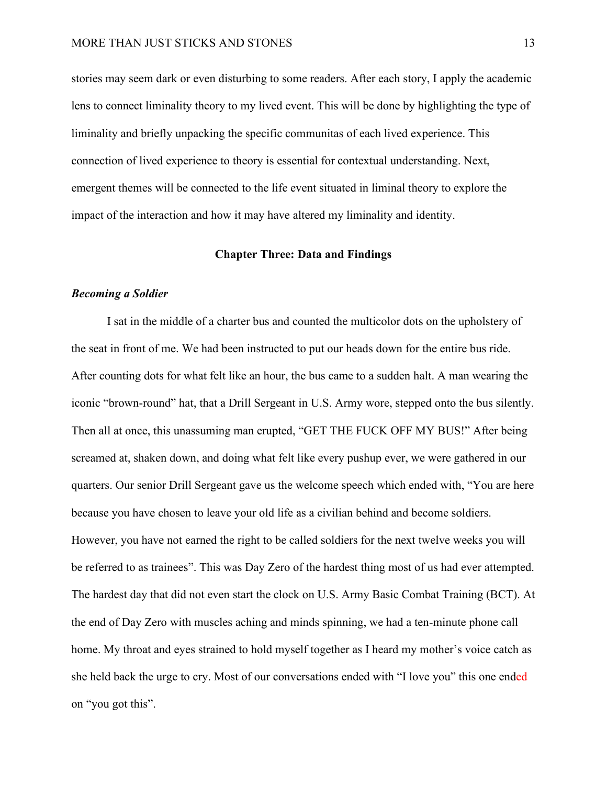stories may seem dark or even disturbing to some readers. After each story, I apply the academic lens to connect liminality theory to my lived event. This will be done by highlighting the type of liminality and briefly unpacking the specific communitas of each lived experience. This connection of lived experience to theory is essential for contextual understanding. Next, emergent themes will be connected to the life event situated in liminal theory to explore the impact of the interaction and how it may have altered my liminality and identity.

#### **Chapter Three: Data and Findings**

#### <span id="page-13-1"></span><span id="page-13-0"></span>*Becoming a Soldier*

I sat in the middle of a charter bus and counted the multicolor dots on the upholstery of the seat in front of me. We had been instructed to put our heads down for the entire bus ride. After counting dots for what felt like an hour, the bus came to a sudden halt. A man wearing the iconic "brown-round" hat, that a Drill Sergeant in U.S. Army wore, stepped onto the bus silently. Then all at once, this unassuming man erupted, "GET THE FUCK OFF MY BUS!" After being screamed at, shaken down, and doing what felt like every pushup ever, we were gathered in our quarters. Our senior Drill Sergeant gave us the welcome speech which ended with, "You are here because you have chosen to leave your old life as a civilian behind and become soldiers. However, you have not earned the right to be called soldiers for the next twelve weeks you will be referred to as trainees". This was Day Zero of the hardest thing most of us had ever attempted. The hardest day that did not even start the clock on U.S. Army Basic Combat Training (BCT). At the end of Day Zero with muscles aching and minds spinning, we had a ten-minute phone call home. My throat and eyes strained to hold myself together as I heard my mother's voice catch as she held back the urge to cry. Most of our conversations ended with "I love you" this one ended on "you got this".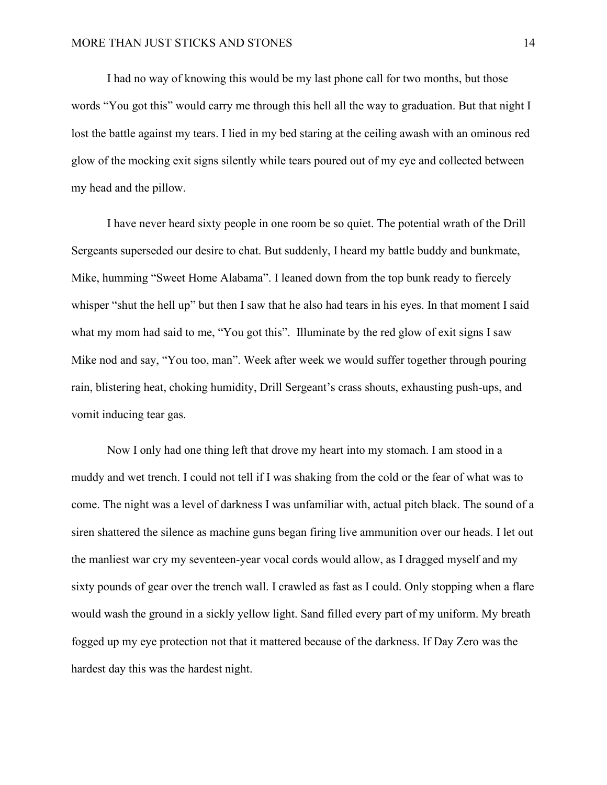I had no way of knowing this would be my last phone call for two months, but those words "You got this" would carry me through this hell all the way to graduation. But that night I lost the battle against my tears. I lied in my bed staring at the ceiling awash with an ominous red glow of the mocking exit signs silently while tears poured out of my eye and collected between my head and the pillow.

I have never heard sixty people in one room be so quiet. The potential wrath of the Drill Sergeants superseded our desire to chat. But suddenly, I heard my battle buddy and bunkmate, Mike, humming "Sweet Home Alabama". I leaned down from the top bunk ready to fiercely whisper "shut the hell up" but then I saw that he also had tears in his eyes. In that moment I said what my mom had said to me, "You got this". Illuminate by the red glow of exit signs I saw Mike nod and say, "You too, man". Week after week we would suffer together through pouring rain, blistering heat, choking humidity, Drill Sergeant's crass shouts, exhausting push-ups, and vomit inducing tear gas.

Now I only had one thing left that drove my heart into my stomach. I am stood in a muddy and wet trench. I could not tell if I was shaking from the cold or the fear of what was to come. The night was a level of darkness I was unfamiliar with, actual pitch black. The sound of a siren shattered the silence as machine guns began firing live ammunition over our heads. I let out the manliest war cry my seventeen-year vocal cords would allow, as I dragged myself and my sixty pounds of gear over the trench wall. I crawled as fast as I could. Only stopping when a flare would wash the ground in a sickly yellow light. Sand filled every part of my uniform. My breath fogged up my eye protection not that it mattered because of the darkness. If Day Zero was the hardest day this was the hardest night.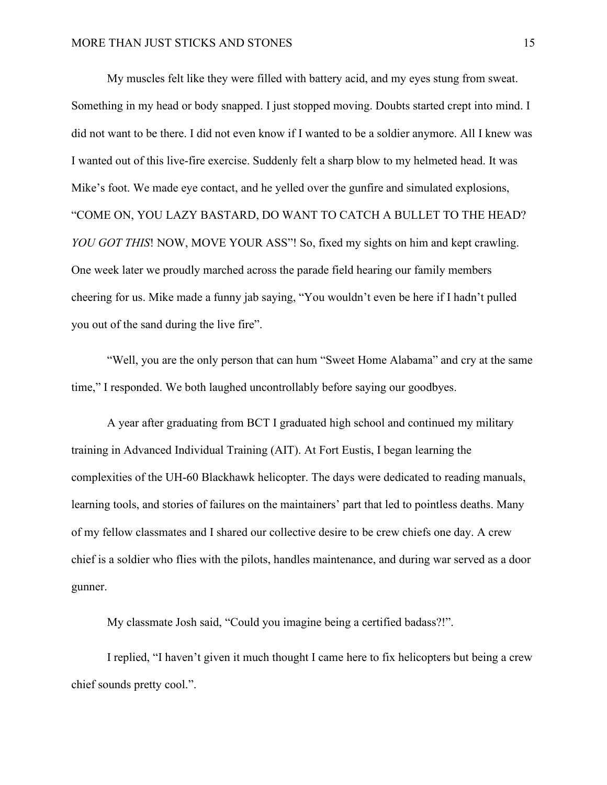My muscles felt like they were filled with battery acid, and my eyes stung from sweat. Something in my head or body snapped. I just stopped moving. Doubts started crept into mind. I did not want to be there. I did not even know if I wanted to be a soldier anymore. All I knew was I wanted out of this live-fire exercise. Suddenly felt a sharp blow to my helmeted head. It was Mike's foot. We made eye contact, and he yelled over the gunfire and simulated explosions, "COME ON, YOU LAZY BASTARD, DO WANT TO CATCH A BULLET TO THE HEAD? *YOU GOT THIS*! NOW, MOVE YOUR ASS"! So, fixed my sights on him and kept crawling. One week later we proudly marched across the parade field hearing our family members cheering for us. Mike made a funny jab saying, "You wouldn't even be here if I hadn't pulled you out of the sand during the live fire".

"Well, you are the only person that can hum "Sweet Home Alabama" and cry at the same time," I responded. We both laughed uncontrollably before saying our goodbyes.

A year after graduating from BCT I graduated high school and continued my military training in Advanced Individual Training (AIT). At Fort Eustis, I began learning the complexities of the UH-60 Blackhawk helicopter. The days were dedicated to reading manuals, learning tools, and stories of failures on the maintainers' part that led to pointless deaths. Many of my fellow classmates and I shared our collective desire to be crew chiefs one day. A crew chief is a soldier who flies with the pilots, handles maintenance, and during war served as a door gunner.

My classmate Josh said, "Could you imagine being a certified badass?!".

I replied, "I haven't given it much thought I came here to fix helicopters but being a crew chief sounds pretty cool.".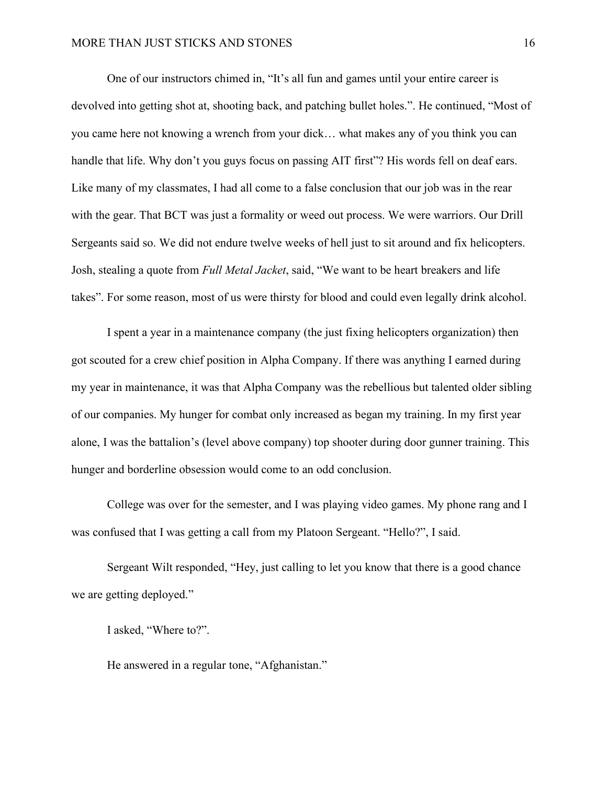One of our instructors chimed in, "It's all fun and games until your entire career is devolved into getting shot at, shooting back, and patching bullet holes.". He continued, "Most of you came here not knowing a wrench from your dick… what makes any of you think you can handle that life. Why don't you guys focus on passing AIT first"? His words fell on deaf ears. Like many of my classmates, I had all come to a false conclusion that our job was in the rear with the gear. That BCT was just a formality or weed out process. We were warriors. Our Drill Sergeants said so. We did not endure twelve weeks of hell just to sit around and fix helicopters. Josh, stealing a quote from *Full Metal Jacket*, said, "We want to be heart breakers and life takes". For some reason, most of us were thirsty for blood and could even legally drink alcohol.

I spent a year in a maintenance company (the just fixing helicopters organization) then got scouted for a crew chief position in Alpha Company. If there was anything I earned during my year in maintenance, it was that Alpha Company was the rebellious but talented older sibling of our companies. My hunger for combat only increased as began my training. In my first year alone, I was the battalion's (level above company) top shooter during door gunner training. This hunger and borderline obsession would come to an odd conclusion.

College was over for the semester, and I was playing video games. My phone rang and I was confused that I was getting a call from my Platoon Sergeant. "Hello?", I said.

Sergeant Wilt responded, "Hey, just calling to let you know that there is a good chance we are getting deployed."

I asked, "Where to?".

He answered in a regular tone, "Afghanistan."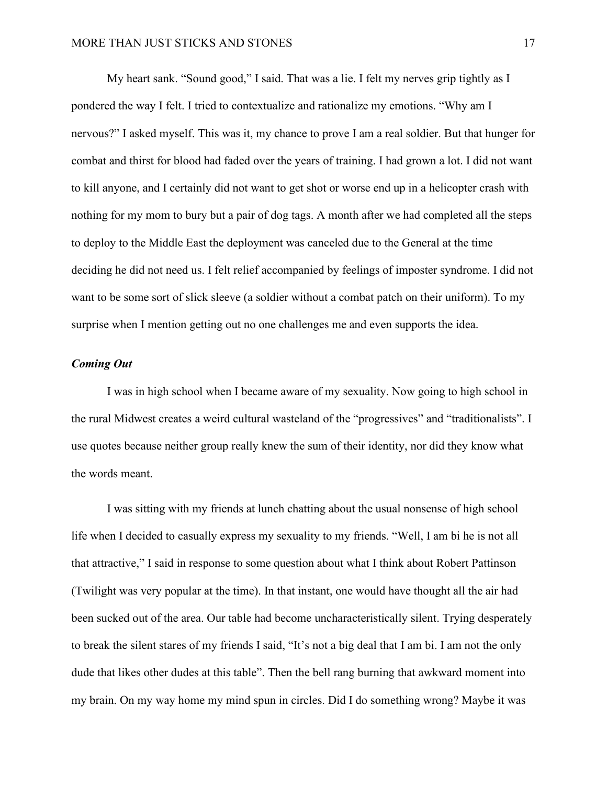My heart sank. "Sound good," I said. That was a lie. I felt my nerves grip tightly as I pondered the way I felt. I tried to contextualize and rationalize my emotions. "Why am I nervous?" I asked myself. This was it, my chance to prove I am a real soldier. But that hunger for combat and thirst for blood had faded over the years of training. I had grown a lot. I did not want to kill anyone, and I certainly did not want to get shot or worse end up in a helicopter crash with nothing for my mom to bury but a pair of dog tags. A month after we had completed all the steps to deploy to the Middle East the deployment was canceled due to the General at the time deciding he did not need us. I felt relief accompanied by feelings of imposter syndrome. I did not want to be some sort of slick sleeve (a soldier without a combat patch on their uniform). To my surprise when I mention getting out no one challenges me and even supports the idea.

## <span id="page-17-0"></span>*Coming Out*

I was in high school when I became aware of my sexuality. Now going to high school in the rural Midwest creates a weird cultural wasteland of the "progressives" and "traditionalists". I use quotes because neither group really knew the sum of their identity, nor did they know what the words meant.

I was sitting with my friends at lunch chatting about the usual nonsense of high school life when I decided to casually express my sexuality to my friends. "Well, I am bi he is not all that attractive," I said in response to some question about what I think about Robert Pattinson (Twilight was very popular at the time). In that instant, one would have thought all the air had been sucked out of the area. Our table had become uncharacteristically silent. Trying desperately to break the silent stares of my friends I said, "It's not a big deal that I am bi. I am not the only dude that likes other dudes at this table". Then the bell rang burning that awkward moment into my brain. On my way home my mind spun in circles. Did I do something wrong? Maybe it was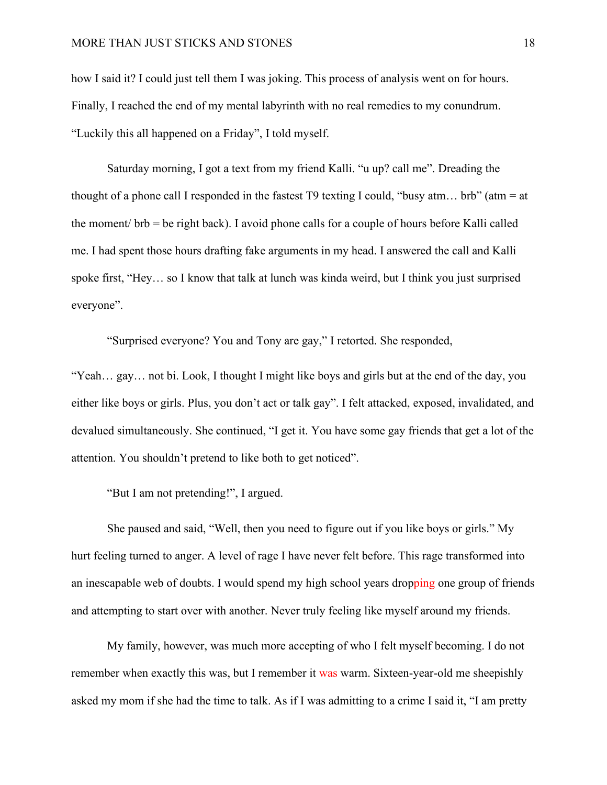how I said it? I could just tell them I was joking. This process of analysis went on for hours. Finally, I reached the end of my mental labyrinth with no real remedies to my conundrum. "Luckily this all happened on a Friday", I told myself.

Saturday morning, I got a text from my friend Kalli. "u up? call me". Dreading the thought of a phone call I responded in the fastest T9 texting I could, "busy atm... brb" (atm = at the moment/ brb = be right back). I avoid phone calls for a couple of hours before Kalli called me. I had spent those hours drafting fake arguments in my head. I answered the call and Kalli spoke first, "Hey… so I know that talk at lunch was kinda weird, but I think you just surprised everyone".

"Surprised everyone? You and Tony are gay," I retorted. She responded,

"Yeah… gay… not bi. Look, I thought I might like boys and girls but at the end of the day, you either like boys or girls. Plus, you don't act or talk gay". I felt attacked, exposed, invalidated, and devalued simultaneously. She continued, "I get it. You have some gay friends that get a lot of the attention. You shouldn't pretend to like both to get noticed".

"But I am not pretending!", I argued.

She paused and said, "Well, then you need to figure out if you like boys or girls." My hurt feeling turned to anger. A level of rage I have never felt before. This rage transformed into an inescapable web of doubts. I would spend my high school years dropping one group of friends and attempting to start over with another. Never truly feeling like myself around my friends.

My family, however, was much more accepting of who I felt myself becoming. I do not remember when exactly this was, but I remember it was warm. Sixteen-year-old me sheepishly asked my mom if she had the time to talk. As if I was admitting to a crime I said it, "I am pretty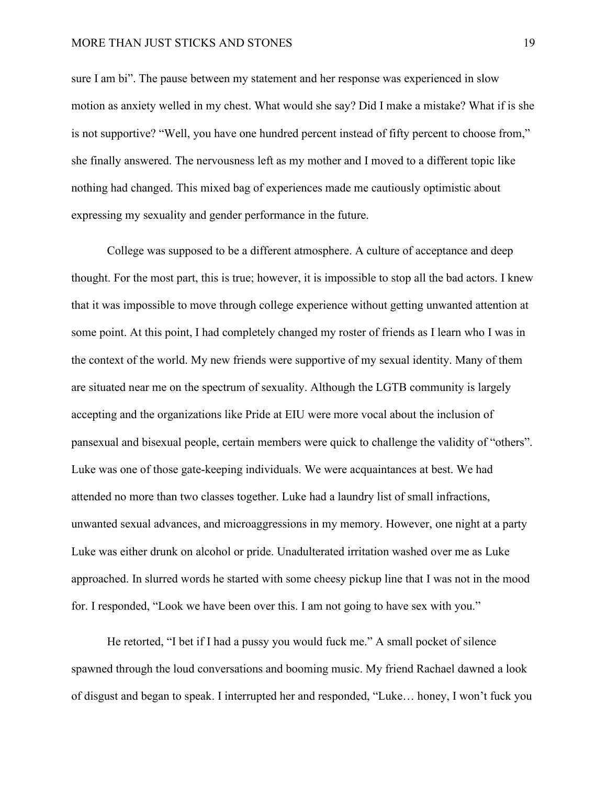## MORE THAN JUST STICKS AND STONES 19

sure I am bi". The pause between my statement and her response was experienced in slow motion as anxiety welled in my chest. What would she say? Did I make a mistake? What if is she is not supportive? "Well, you have one hundred percent instead of fifty percent to choose from," she finally answered. The nervousness left as my mother and I moved to a different topic like nothing had changed. This mixed bag of experiences made me cautiously optimistic about expressing my sexuality and gender performance in the future.

College was supposed to be a different atmosphere. A culture of acceptance and deep thought. For the most part, this is true; however, it is impossible to stop all the bad actors. I knew that it was impossible to move through college experience without getting unwanted attention at some point. At this point, I had completely changed my roster of friends as I learn who I was in the context of the world. My new friends were supportive of my sexual identity. Many of them are situated near me on the spectrum of sexuality. Although the LGTB community is largely accepting and the organizations like Pride at EIU were more vocal about the inclusion of pansexual and bisexual people, certain members were quick to challenge the validity of "others". Luke was one of those gate-keeping individuals. We were acquaintances at best. We had attended no more than two classes together. Luke had a laundry list of small infractions, unwanted sexual advances, and microaggressions in my memory. However, one night at a party Luke was either drunk on alcohol or pride. Unadulterated irritation washed over me as Luke approached. In slurred words he started with some cheesy pickup line that I was not in the mood for. I responded, "Look we have been over this. I am not going to have sex with you."

He retorted, "I bet if I had a pussy you would fuck me." A small pocket of silence spawned through the loud conversations and booming music. My friend Rachael dawned a look of disgust and began to speak. I interrupted her and responded, "Luke… honey, I won't fuck you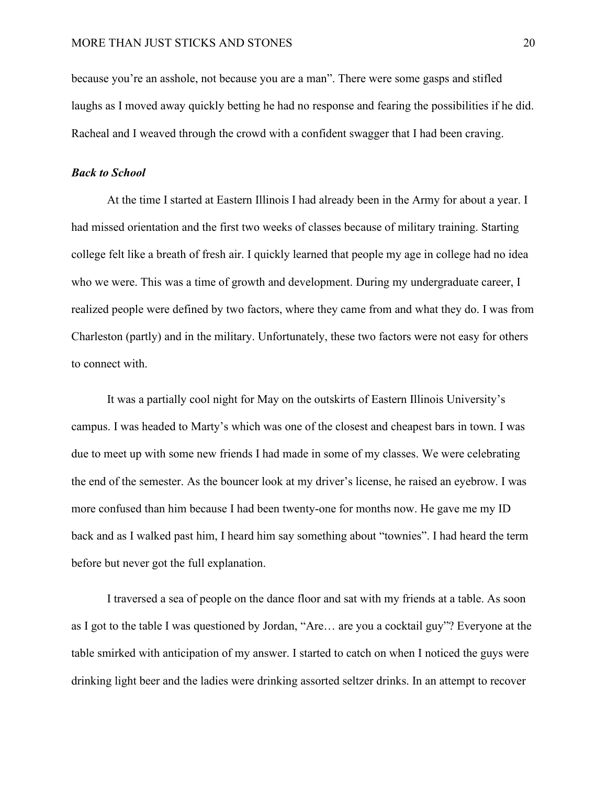because you're an asshole, not because you are a man". There were some gasps and stifled laughs as I moved away quickly betting he had no response and fearing the possibilities if he did. Racheal and I weaved through the crowd with a confident swagger that I had been craving.

### <span id="page-20-0"></span>*Back to School*

At the time I started at Eastern Illinois I had already been in the Army for about a year. I had missed orientation and the first two weeks of classes because of military training. Starting college felt like a breath of fresh air. I quickly learned that people my age in college had no idea who we were. This was a time of growth and development. During my undergraduate career, I realized people were defined by two factors, where they came from and what they do. I was from Charleston (partly) and in the military. Unfortunately, these two factors were not easy for others to connect with.

It was a partially cool night for May on the outskirts of Eastern Illinois University's campus. I was headed to Marty's which was one of the closest and cheapest bars in town. I was due to meet up with some new friends I had made in some of my classes. We were celebrating the end of the semester. As the bouncer look at my driver's license, he raised an eyebrow. I was more confused than him because I had been twenty-one for months now. He gave me my ID back and as I walked past him, I heard him say something about "townies". I had heard the term before but never got the full explanation.

I traversed a sea of people on the dance floor and sat with my friends at a table. As soon as I got to the table I was questioned by Jordan, "Are… are you a cocktail guy"? Everyone at the table smirked with anticipation of my answer. I started to catch on when I noticed the guys were drinking light beer and the ladies were drinking assorted seltzer drinks. In an attempt to recover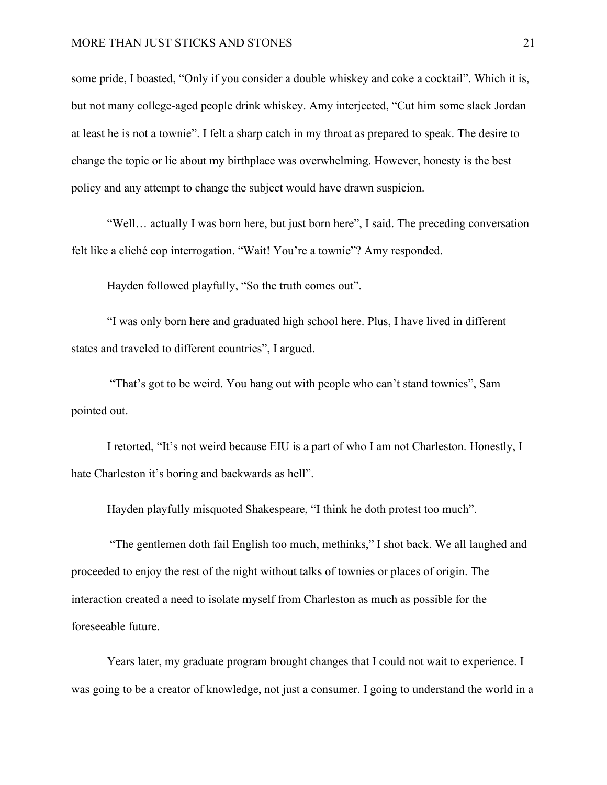## MORE THAN JUST STICKS AND STONES 21

some pride, I boasted, "Only if you consider a double whiskey and coke a cocktail". Which it is, but not many college-aged people drink whiskey. Amy interjected, "Cut him some slack Jordan at least he is not a townie". I felt a sharp catch in my throat as prepared to speak. The desire to change the topic or lie about my birthplace was overwhelming. However, honesty is the best policy and any attempt to change the subject would have drawn suspicion.

"Well… actually I was born here, but just born here", I said. The preceding conversation felt like a cliché cop interrogation. "Wait! You're a townie"? Amy responded.

Hayden followed playfully, "So the truth comes out".

"I was only born here and graduated high school here. Plus, I have lived in different states and traveled to different countries", I argued.

"That's got to be weird. You hang out with people who can't stand townies", Sam pointed out.

I retorted, "It's not weird because EIU is a part of who I am not Charleston. Honestly, I hate Charleston it's boring and backwards as hell".

Hayden playfully misquoted Shakespeare, "I think he doth protest too much".

"The gentlemen doth fail English too much, methinks," I shot back. We all laughed and proceeded to enjoy the rest of the night without talks of townies or places of origin. The interaction created a need to isolate myself from Charleston as much as possible for the foreseeable future.

Years later, my graduate program brought changes that I could not wait to experience. I was going to be a creator of knowledge, not just a consumer. I going to understand the world in a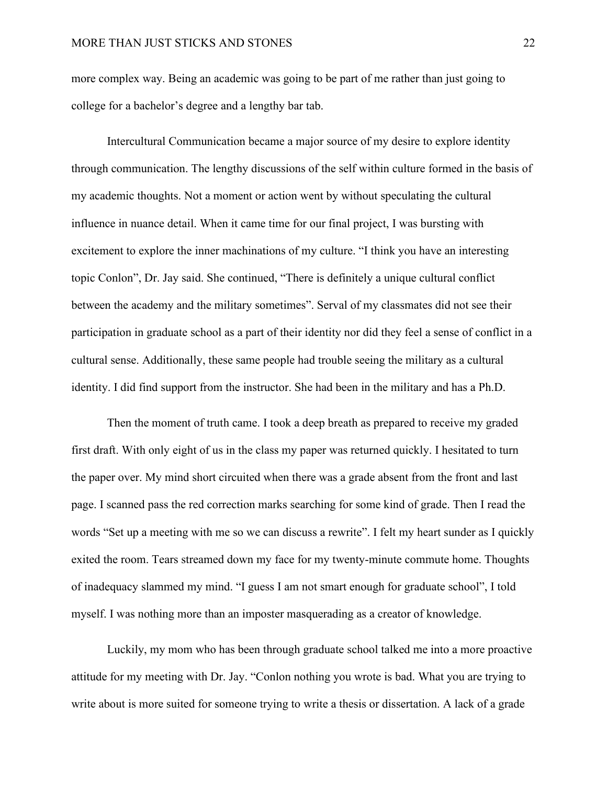more complex way. Being an academic was going to be part of me rather than just going to college for a bachelor's degree and a lengthy bar tab.

Intercultural Communication became a major source of my desire to explore identity through communication. The lengthy discussions of the self within culture formed in the basis of my academic thoughts. Not a moment or action went by without speculating the cultural influence in nuance detail. When it came time for our final project, I was bursting with excitement to explore the inner machinations of my culture. "I think you have an interesting topic Conlon", Dr. Jay said. She continued, "There is definitely a unique cultural conflict between the academy and the military sometimes". Serval of my classmates did not see their participation in graduate school as a part of their identity nor did they feel a sense of conflict in a cultural sense. Additionally, these same people had trouble seeing the military as a cultural identity. I did find support from the instructor. She had been in the military and has a Ph.D.

Then the moment of truth came. I took a deep breath as prepared to receive my graded first draft. With only eight of us in the class my paper was returned quickly. I hesitated to turn the paper over. My mind short circuited when there was a grade absent from the front and last page. I scanned pass the red correction marks searching for some kind of grade. Then I read the words "Set up a meeting with me so we can discuss a rewrite". I felt my heart sunder as I quickly exited the room. Tears streamed down my face for my twenty-minute commute home. Thoughts of inadequacy slammed my mind. "I guess I am not smart enough for graduate school", I told myself. I was nothing more than an imposter masquerading as a creator of knowledge.

Luckily, my mom who has been through graduate school talked me into a more proactive attitude for my meeting with Dr. Jay. "Conlon nothing you wrote is bad. What you are trying to write about is more suited for someone trying to write a thesis or dissertation. A lack of a grade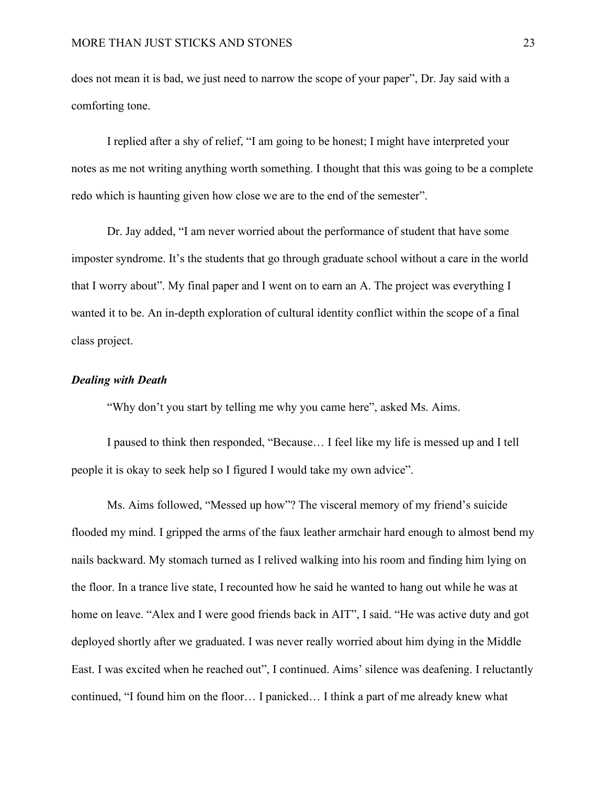does not mean it is bad, we just need to narrow the scope of your paper", Dr. Jay said with a comforting tone.

I replied after a shy of relief, "I am going to be honest; I might have interpreted your notes as me not writing anything worth something. I thought that this was going to be a complete redo which is haunting given how close we are to the end of the semester".

Dr. Jay added, "I am never worried about the performance of student that have some imposter syndrome. It's the students that go through graduate school without a care in the world that I worry about". My final paper and I went on to earn an A. The project was everything I wanted it to be. An in-depth exploration of cultural identity conflict within the scope of a final class project.

## <span id="page-23-0"></span>*Dealing with Death*

"Why don't you start by telling me why you came here", asked Ms. Aims.

I paused to think then responded, "Because… I feel like my life is messed up and I tell people it is okay to seek help so I figured I would take my own advice".

Ms. Aims followed, "Messed up how"? The visceral memory of my friend's suicide flooded my mind. I gripped the arms of the faux leather armchair hard enough to almost bend my nails backward. My stomach turned as I relived walking into his room and finding him lying on the floor. In a trance live state, I recounted how he said he wanted to hang out while he was at home on leave. "Alex and I were good friends back in AIT", I said. "He was active duty and got deployed shortly after we graduated. I was never really worried about him dying in the Middle East. I was excited when he reached out", I continued. Aims' silence was deafening. I reluctantly continued, "I found him on the floor… I panicked… I think a part of me already knew what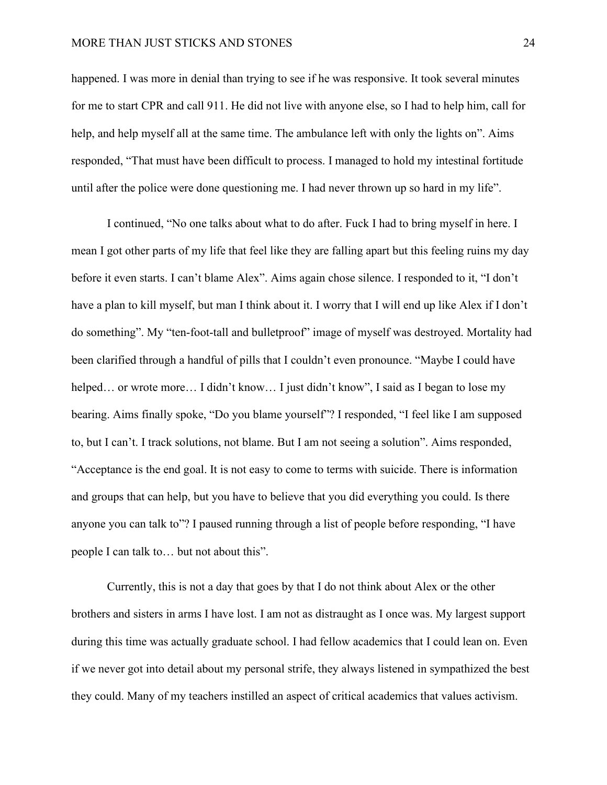## MORE THAN JUST STICKS AND STONES 24

happened. I was more in denial than trying to see if he was responsive. It took several minutes for me to start CPR and call 911. He did not live with anyone else, so I had to help him, call for help, and help myself all at the same time. The ambulance left with only the lights on". Aims responded, "That must have been difficult to process. I managed to hold my intestinal fortitude until after the police were done questioning me. I had never thrown up so hard in my life".

I continued, "No one talks about what to do after. Fuck I had to bring myself in here. I mean I got other parts of my life that feel like they are falling apart but this feeling ruins my day before it even starts. I can't blame Alex". Aims again chose silence. I responded to it, "I don't have a plan to kill myself, but man I think about it. I worry that I will end up like Alex if I don't do something". My "ten-foot-tall and bulletproof" image of myself was destroyed. Mortality had been clarified through a handful of pills that I couldn't even pronounce. "Maybe I could have helped... or wrote more... I didn't know... I just didn't know", I said as I began to lose my bearing. Aims finally spoke, "Do you blame yourself"? I responded, "I feel like I am supposed to, but I can't. I track solutions, not blame. But I am not seeing a solution". Aims responded, "Acceptance is the end goal. It is not easy to come to terms with suicide. There is information and groups that can help, but you have to believe that you did everything you could. Is there anyone you can talk to"? I paused running through a list of people before responding, "I have people I can talk to… but not about this".

Currently, this is not a day that goes by that I do not think about Alex or the other brothers and sisters in arms I have lost. I am not as distraught as I once was. My largest support during this time was actually graduate school. I had fellow academics that I could lean on. Even if we never got into detail about my personal strife, they always listened in sympathized the best they could. Many of my teachers instilled an aspect of critical academics that values activism.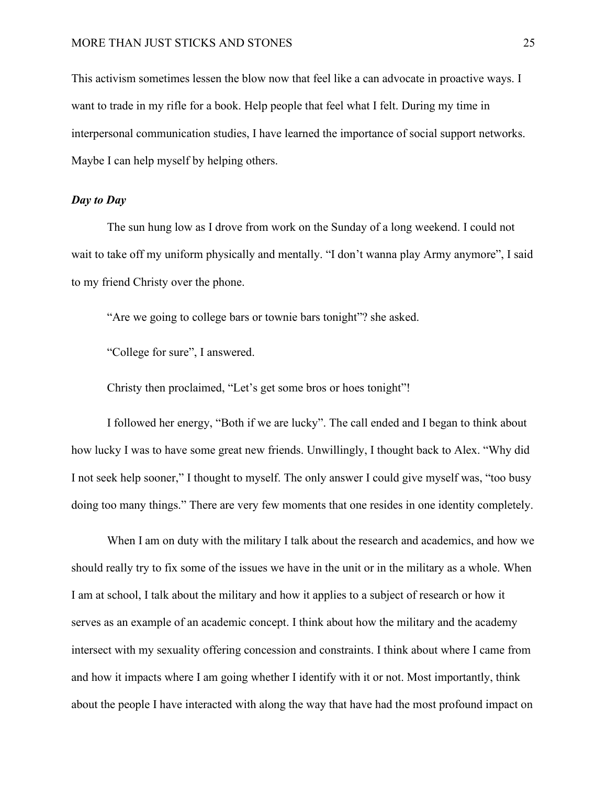This activism sometimes lessen the blow now that feel like a can advocate in proactive ways. I want to trade in my rifle for a book. Help people that feel what I felt. During my time in interpersonal communication studies, I have learned the importance of social support networks. Maybe I can help myself by helping others.

## <span id="page-25-0"></span>*Day to Day*

The sun hung low as I drove from work on the Sunday of a long weekend. I could not wait to take off my uniform physically and mentally. "I don't wanna play Army anymore", I said to my friend Christy over the phone.

"Are we going to college bars or townie bars tonight"? she asked.

"College for sure", I answered.

Christy then proclaimed, "Let's get some bros or hoes tonight"!

I followed her energy, "Both if we are lucky". The call ended and I began to think about how lucky I was to have some great new friends. Unwillingly, I thought back to Alex. "Why did I not seek help sooner," I thought to myself. The only answer I could give myself was, "too busy doing too many things." There are very few moments that one resides in one identity completely.

When I am on duty with the military I talk about the research and academics, and how we should really try to fix some of the issues we have in the unit or in the military as a whole. When I am at school, I talk about the military and how it applies to a subject of research or how it serves as an example of an academic concept. I think about how the military and the academy intersect with my sexuality offering concession and constraints. I think about where I came from and how it impacts where I am going whether I identify with it or not. Most importantly, think about the people I have interacted with along the way that have had the most profound impact on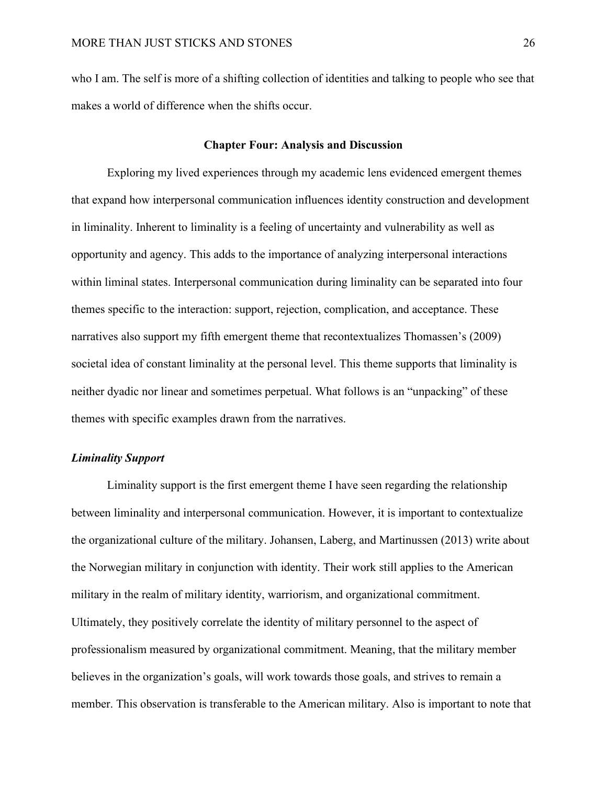who I am. The self is more of a shifting collection of identities and talking to people who see that makes a world of difference when the shifts occur.

## **Chapter Four: Analysis and Discussion**

<span id="page-26-0"></span> Exploring my lived experiences through my academic lens evidenced emergent themes that expand how interpersonal communication influences identity construction and development in liminality. Inherent to liminality is a feeling of uncertainty and vulnerability as well as opportunity and agency. This adds to the importance of analyzing interpersonal interactions within liminal states. Interpersonal communication during liminality can be separated into four themes specific to the interaction: support, rejection, complication, and acceptance. These narratives also support my fifth emergent theme that recontextualizes Thomassen's (2009) societal idea of constant liminality at the personal level. This theme supports that liminality is neither dyadic nor linear and sometimes perpetual. What follows is an "unpacking" of these themes with specific examples drawn from the narratives.

## <span id="page-26-1"></span>*Liminality Support*

Liminality support is the first emergent theme I have seen regarding the relationship between liminality and interpersonal communication. However, it is important to contextualize the organizational culture of the military. Johansen, Laberg, and Martinussen (2013) write about the Norwegian military in conjunction with identity. Their work still applies to the American military in the realm of military identity, warriorism, and organizational commitment. Ultimately, they positively correlate the identity of military personnel to the aspect of professionalism measured by organizational commitment. Meaning, that the military member believes in the organization's goals, will work towards those goals, and strives to remain a member. This observation is transferable to the American military. Also is important to note that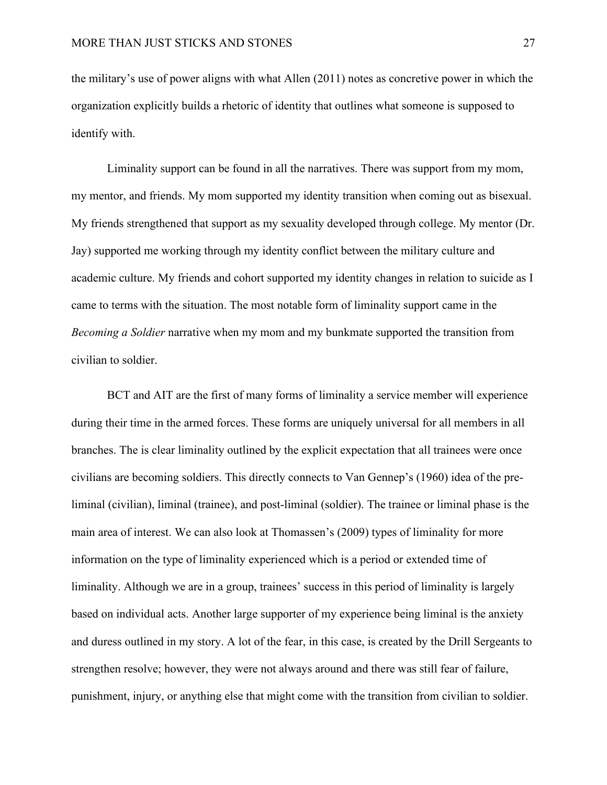the military's use of power aligns with what Allen (2011) notes as concretive power in which the organization explicitly builds a rhetoric of identity that outlines what someone is supposed to identify with.

Liminality support can be found in all the narratives. There was support from my mom, my mentor, and friends. My mom supported my identity transition when coming out as bisexual. My friends strengthened that support as my sexuality developed through college. My mentor (Dr. Jay) supported me working through my identity conflict between the military culture and academic culture. My friends and cohort supported my identity changes in relation to suicide as I came to terms with the situation. The most notable form of liminality support came in the *Becoming a Soldier* narrative when my mom and my bunkmate supported the transition from civilian to soldier.

BCT and AIT are the first of many forms of liminality a service member will experience during their time in the armed forces. These forms are uniquely universal for all members in all branches. The is clear liminality outlined by the explicit expectation that all trainees were once civilians are becoming soldiers. This directly connects to Van Gennep's (1960) idea of the preliminal (civilian), liminal (trainee), and post-liminal (soldier). The trainee or liminal phase is the main area of interest. We can also look at Thomassen's (2009) types of liminality for more information on the type of liminality experienced which is a period or extended time of liminality. Although we are in a group, trainees' success in this period of liminality is largely based on individual acts. Another large supporter of my experience being liminal is the anxiety and duress outlined in my story. A lot of the fear, in this case, is created by the Drill Sergeants to strengthen resolve; however, they were not always around and there was still fear of failure, punishment, injury, or anything else that might come with the transition from civilian to soldier.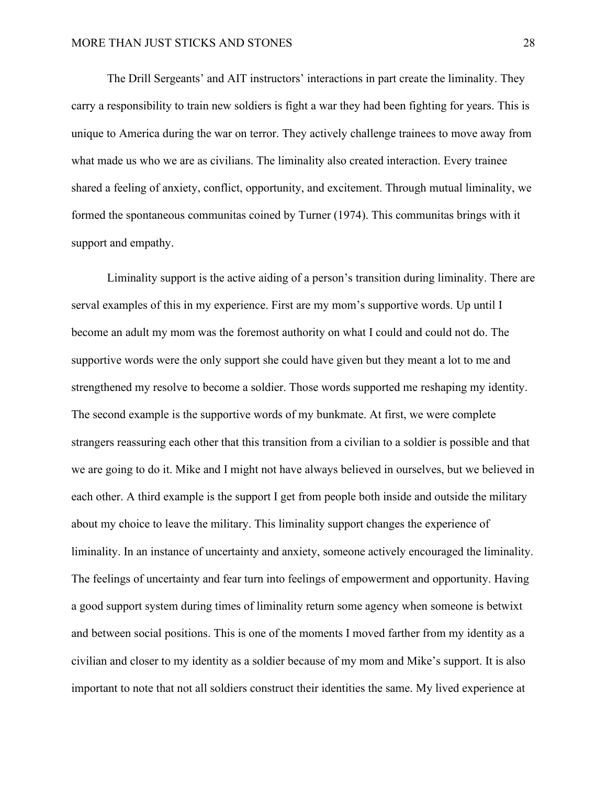The Drill Sergeants' and AIT instructors' interactions in part create the liminality. They carry a responsibility to train new soldiers is fight a war they had been fighting for years. This is unique to America during the war on terror. They actively challenge trainees to move away from what made us who we are as civilians. The liminality also created interaction. Every trainee shared a feeling of anxiety, conflict, opportunity, and excitement. Through mutual liminality, we formed the spontaneous communitas coined by Turner (1974). This communitas brings with it support and empathy.

Liminality support is the active aiding of a person's transition during liminality. There are serval examples of this in my experience. First are my mom's supportive words. Up until I become an adult my mom was the foremost authority on what I could and could not do. The supportive words were the only support she could have given but they meant a lot to me and strengthened my resolve to become a soldier. Those words supported me reshaping my identity. The second example is the supportive words of my bunkmate. At first, we were complete strangers reassuring each other that this transition from a civilian to a soldier is possible and that we are going to do it. Mike and I might not have always believed in ourselves, but we believed in each other. A third example is the support I get from people both inside and outside the military about my choice to leave the military. This liminality support changes the experience of liminality. In an instance of uncertainty and anxiety, someone actively encouraged the liminality. The feelings of uncertainty and fear turn into feelings of empowerment and opportunity. Having a good support system during times of liminality return some agency when someone is betwixt and between social positions. This is one of the moments I moved farther from my identity as a civilian and closer to my identity as a soldier because of my mom and Mike's support. It is also important to note that not all soldiers construct their identities the same. My lived experience at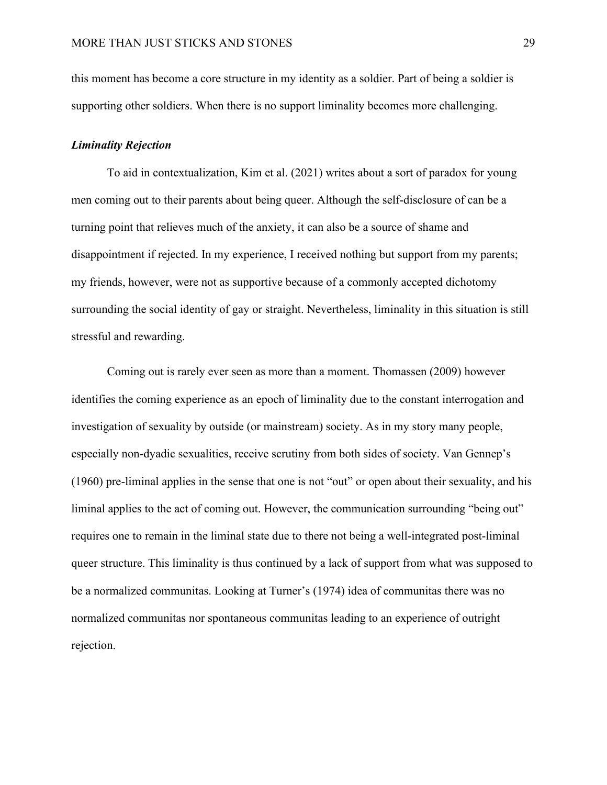this moment has become a core structure in my identity as a soldier. Part of being a soldier is supporting other soldiers. When there is no support liminality becomes more challenging.

## <span id="page-29-0"></span>*Liminality Rejection*

To aid in contextualization, Kim et al. (2021) writes about a sort of paradox for young men coming out to their parents about being queer. Although the self-disclosure of can be a turning point that relieves much of the anxiety, it can also be a source of shame and disappointment if rejected. In my experience, I received nothing but support from my parents; my friends, however, were not as supportive because of a commonly accepted dichotomy surrounding the social identity of gay or straight. Nevertheless, liminality in this situation is still stressful and rewarding.

Coming out is rarely ever seen as more than a moment. Thomassen (2009) however identifies the coming experience as an epoch of liminality due to the constant interrogation and investigation of sexuality by outside (or mainstream) society. As in my story many people, especially non-dyadic sexualities, receive scrutiny from both sides of society. Van Gennep's (1960) pre-liminal applies in the sense that one is not "out" or open about their sexuality, and his liminal applies to the act of coming out. However, the communication surrounding "being out" requires one to remain in the liminal state due to there not being a well-integrated post-liminal queer structure. This liminality is thus continued by a lack of support from what was supposed to be a normalized communitas. Looking at Turner's (1974) idea of communitas there was no normalized communitas nor spontaneous communitas leading to an experience of outright rejection.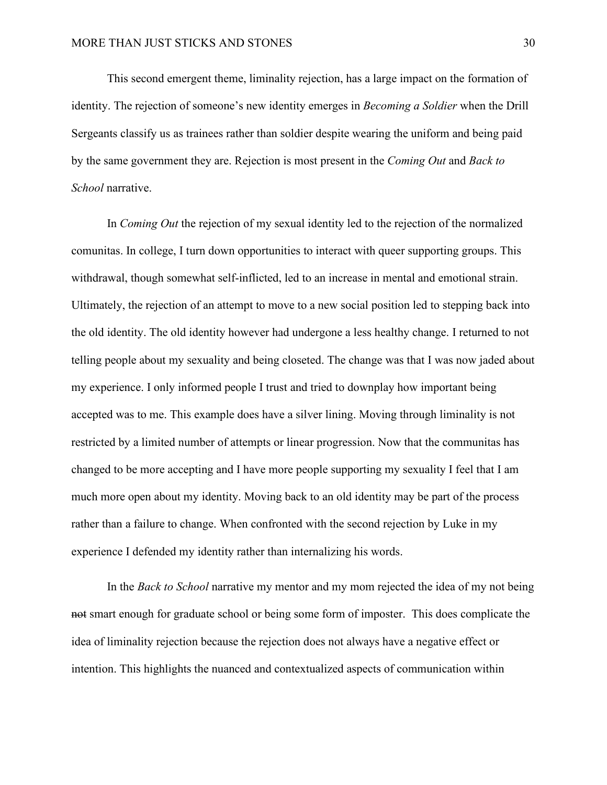This second emergent theme, liminality rejection, has a large impact on the formation of identity. The rejection of someone's new identity emerges in *Becoming a Soldier* when the Drill Sergeants classify us as trainees rather than soldier despite wearing the uniform and being paid by the same government they are. Rejection is most present in the *Coming Out* and *Back to School* narrative.

In *Coming Out* the rejection of my sexual identity led to the rejection of the normalized comunitas. In college, I turn down opportunities to interact with queer supporting groups. This withdrawal, though somewhat self-inflicted, led to an increase in mental and emotional strain. Ultimately, the rejection of an attempt to move to a new social position led to stepping back into the old identity. The old identity however had undergone a less healthy change. I returned to not telling people about my sexuality and being closeted. The change was that I was now jaded about my experience. I only informed people I trust and tried to downplay how important being accepted was to me. This example does have a silver lining. Moving through liminality is not restricted by a limited number of attempts or linear progression. Now that the communitas has changed to be more accepting and I have more people supporting my sexuality I feel that I am much more open about my identity. Moving back to an old identity may be part of the process rather than a failure to change. When confronted with the second rejection by Luke in my experience I defended my identity rather than internalizing his words.

In the *Back to School* narrative my mentor and my mom rejected the idea of my not being not smart enough for graduate school or being some form of imposter. This does complicate the idea of liminality rejection because the rejection does not always have a negative effect or intention. This highlights the nuanced and contextualized aspects of communication within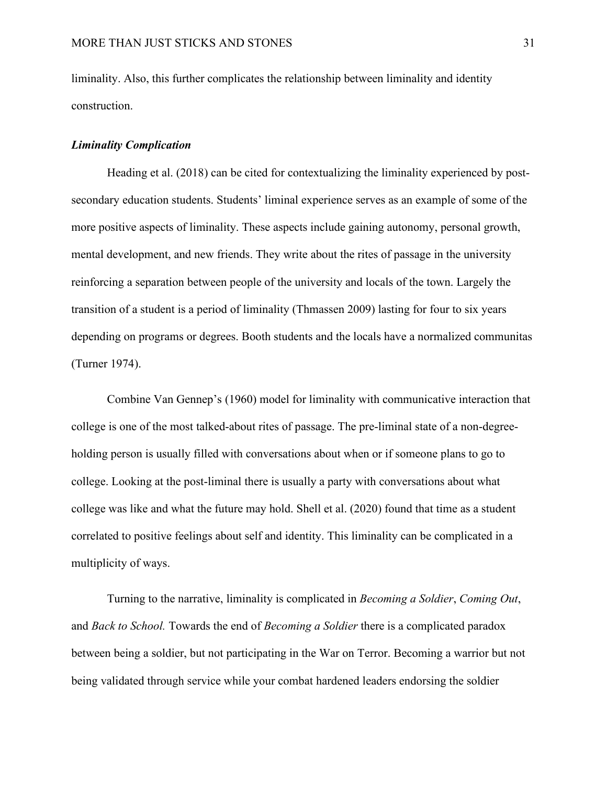liminality. Also, this further complicates the relationship between liminality and identity construction.

## <span id="page-31-0"></span>*Liminality Complication*

Heading et al. (2018) can be cited for contextualizing the liminality experienced by postsecondary education students. Students' liminal experience serves as an example of some of the more positive aspects of liminality. These aspects include gaining autonomy, personal growth, mental development, and new friends. They write about the rites of passage in the university reinforcing a separation between people of the university and locals of the town. Largely the transition of a student is a period of liminality (Thmassen 2009) lasting for four to six years depending on programs or degrees. Booth students and the locals have a normalized communitas (Turner 1974).

Combine Van Gennep's (1960) model for liminality with communicative interaction that college is one of the most talked-about rites of passage. The pre-liminal state of a non-degreeholding person is usually filled with conversations about when or if someone plans to go to college. Looking at the post-liminal there is usually a party with conversations about what college was like and what the future may hold. Shell et al. (2020) found that time as a student correlated to positive feelings about self and identity. This liminality can be complicated in a multiplicity of ways.

Turning to the narrative, liminality is complicated in *Becoming a Soldier*, *Coming Out*, and *Back to School.* Towards the end of *Becoming a Soldier* there is a complicated paradox between being a soldier, but not participating in the War on Terror. Becoming a warrior but not being validated through service while your combat hardened leaders endorsing the soldier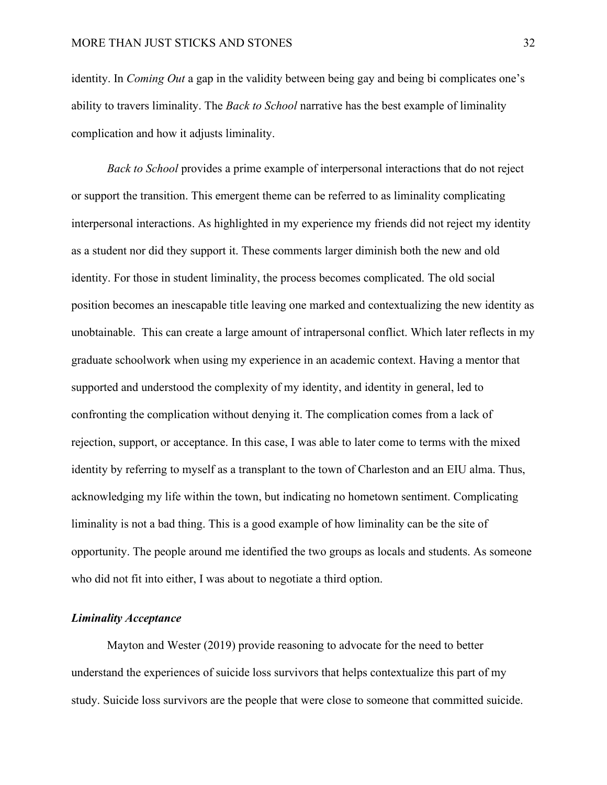identity. In *Coming Out* a gap in the validity between being gay and being bi complicates one's ability to travers liminality. The *Back to School* narrative has the best example of liminality complication and how it adjusts liminality.

*Back to School* provides a prime example of interpersonal interactions that do not reject or support the transition. This emergent theme can be referred to as liminality complicating interpersonal interactions. As highlighted in my experience my friends did not reject my identity as a student nor did they support it. These comments larger diminish both the new and old identity. For those in student liminality, the process becomes complicated. The old social position becomes an inescapable title leaving one marked and contextualizing the new identity as unobtainable. This can create a large amount of intrapersonal conflict. Which later reflects in my graduate schoolwork when using my experience in an academic context. Having a mentor that supported and understood the complexity of my identity, and identity in general, led to confronting the complication without denying it. The complication comes from a lack of rejection, support, or acceptance. In this case, I was able to later come to terms with the mixed identity by referring to myself as a transplant to the town of Charleston and an EIU alma. Thus, acknowledging my life within the town, but indicating no hometown sentiment. Complicating liminality is not a bad thing. This is a good example of how liminality can be the site of opportunity. The people around me identified the two groups as locals and students. As someone who did not fit into either, I was about to negotiate a third option.

## <span id="page-32-0"></span>*Liminality Acceptance*

Mayton and Wester (2019) provide reasoning to advocate for the need to better understand the experiences of suicide loss survivors that helps contextualize this part of my study. Suicide loss survivors are the people that were close to someone that committed suicide.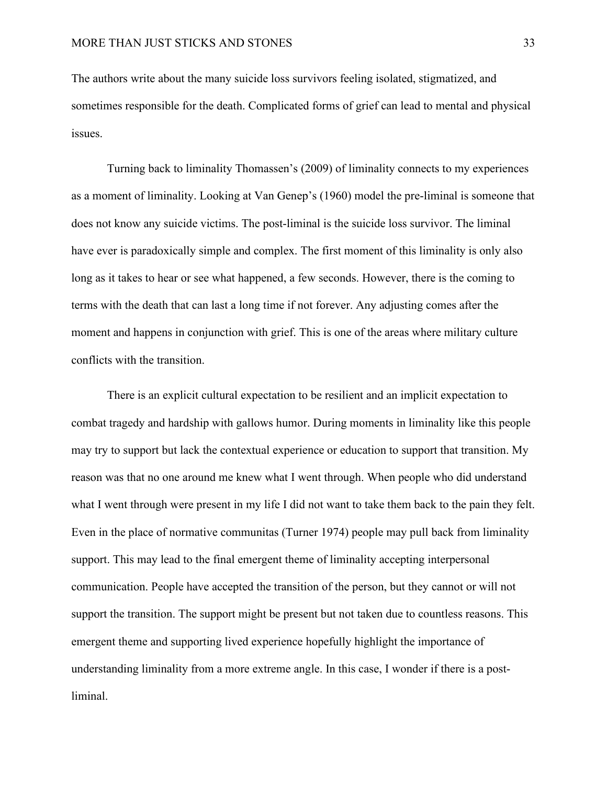The authors write about the many suicide loss survivors feeling isolated, stigmatized, and sometimes responsible for the death. Complicated forms of grief can lead to mental and physical issues.

Turning back to liminality Thomassen's (2009) of liminality connects to my experiences as a moment of liminality. Looking at Van Genep's (1960) model the pre-liminal is someone that does not know any suicide victims. The post-liminal is the suicide loss survivor. The liminal have ever is paradoxically simple and complex. The first moment of this liminality is only also long as it takes to hear or see what happened, a few seconds. However, there is the coming to terms with the death that can last a long time if not forever. Any adjusting comes after the moment and happens in conjunction with grief. This is one of the areas where military culture conflicts with the transition.

There is an explicit cultural expectation to be resilient and an implicit expectation to combat tragedy and hardship with gallows humor. During moments in liminality like this people may try to support but lack the contextual experience or education to support that transition. My reason was that no one around me knew what I went through. When people who did understand what I went through were present in my life I did not want to take them back to the pain they felt. Even in the place of normative communitas (Turner 1974) people may pull back from liminality support. This may lead to the final emergent theme of liminality accepting interpersonal communication. People have accepted the transition of the person, but they cannot or will not support the transition. The support might be present but not taken due to countless reasons. This emergent theme and supporting lived experience hopefully highlight the importance of understanding liminality from a more extreme angle. In this case, I wonder if there is a postliminal.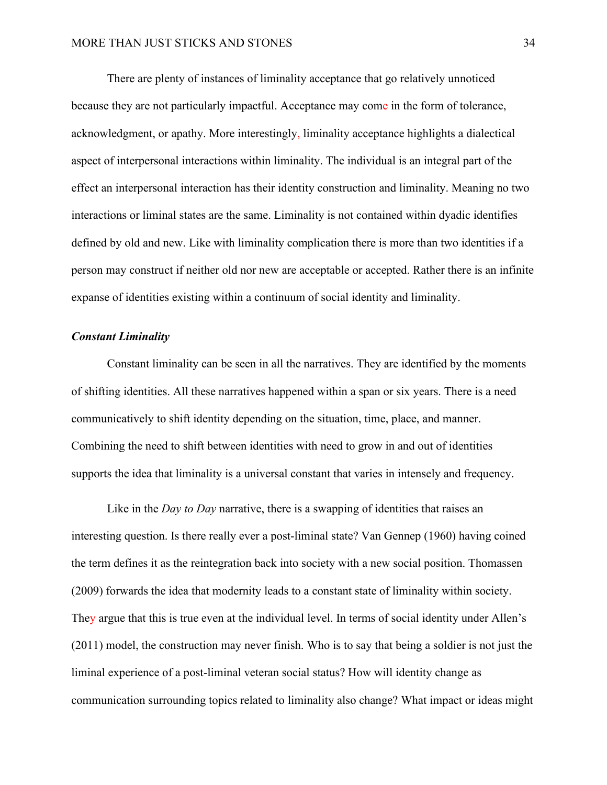There are plenty of instances of liminality acceptance that go relatively unnoticed because they are not particularly impactful. Acceptance may come in the form of tolerance, acknowledgment, or apathy. More interestingly, liminality acceptance highlights a dialectical aspect of interpersonal interactions within liminality. The individual is an integral part of the effect an interpersonal interaction has their identity construction and liminality. Meaning no two interactions or liminal states are the same. Liminality is not contained within dyadic identifies defined by old and new. Like with liminality complication there is more than two identities if a person may construct if neither old nor new are acceptable or accepted. Rather there is an infinite expanse of identities existing within a continuum of social identity and liminality.

## <span id="page-34-0"></span>*Constant Liminality*

Constant liminality can be seen in all the narratives. They are identified by the moments of shifting identities. All these narratives happened within a span or six years. There is a need communicatively to shift identity depending on the situation, time, place, and manner. Combining the need to shift between identities with need to grow in and out of identities supports the idea that liminality is a universal constant that varies in intensely and frequency.

Like in the *Day to Day* narrative, there is a swapping of identities that raises an interesting question. Is there really ever a post-liminal state? Van Gennep (1960) having coined the term defines it as the reintegration back into society with a new social position. Thomassen (2009) forwards the idea that modernity leads to a constant state of liminality within society. They argue that this is true even at the individual level. In terms of social identity under Allen's (2011) model, the construction may never finish. Who is to say that being a soldier is not just the liminal experience of a post-liminal veteran social status? How will identity change as communication surrounding topics related to liminality also change? What impact or ideas might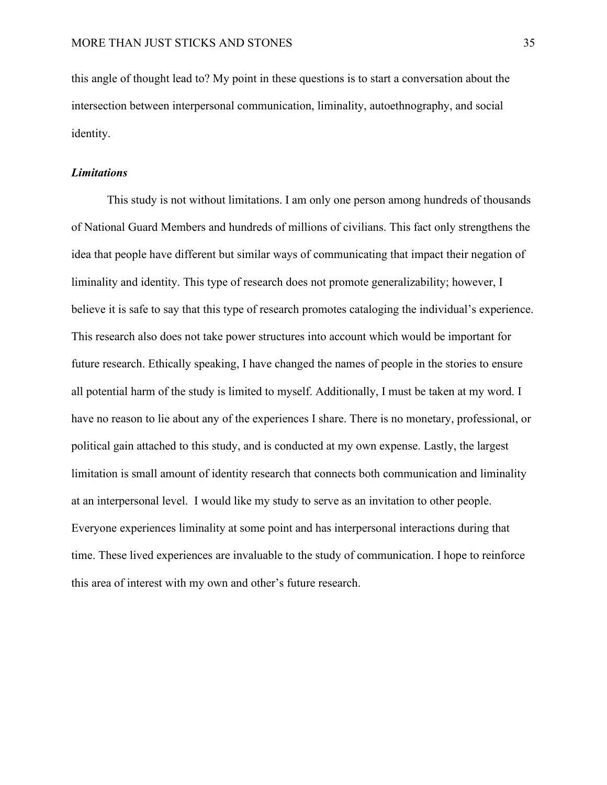this angle of thought lead to? My point in these questions is to start a conversation about the intersection between interpersonal communication, liminality, autoethnography, and social identity.

## <span id="page-35-0"></span>*Limitations*

This study is not without limitations. I am only one person among hundreds of thousands of National Guard Members and hundreds of millions of civilians. This fact only strengthens the idea that people have different but similar ways of communicating that impact their negation of liminality and identity. This type of research does not promote generalizability; however, I believe it is safe to say that this type of research promotes cataloging the individual's experience. This research also does not take power structures into account which would be important for future research. Ethically speaking, I have changed the names of people in the stories to ensure all potential harm of the study is limited to myself. Additionally, I must be taken at my word. I have no reason to lie about any of the experiences I share. There is no monetary, professional, or political gain attached to this study, and is conducted at my own expense. Lastly, the largest limitation is small amount of identity research that connects both communication and liminality at an interpersonal level. I would like my study to serve as an invitation to other people. Everyone experiences liminality at some point and has interpersonal interactions during that time. These lived experiences are invaluable to the study of communication. I hope to reinforce this area of interest with my own and other's future research.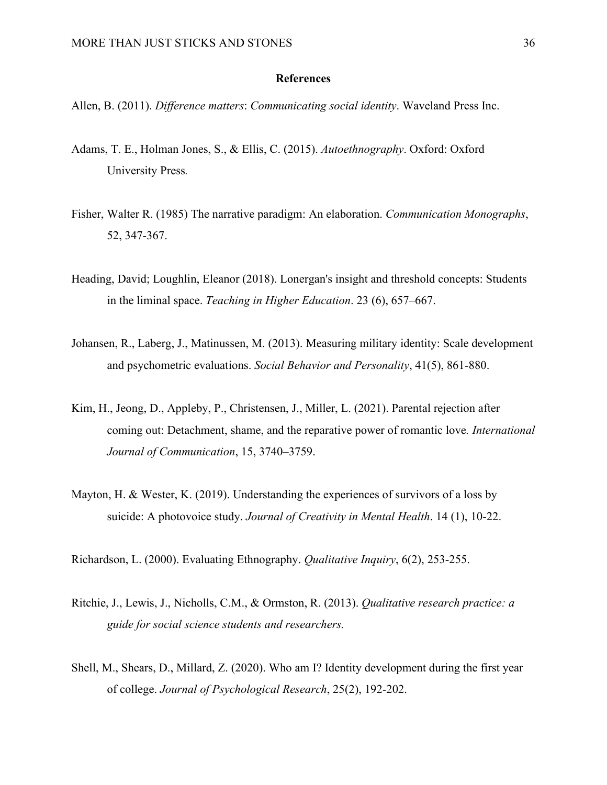## **References**

<span id="page-36-0"></span>Allen, B. (2011). *Difference matters*: *Communicating social identity*. Waveland Press Inc.

- Adams, T. E., Holman Jones, S., & Ellis, C. (2015). *Autoethnography*. Oxford: Oxford University Press*.*
- Fisher, Walter R. (1985) The narrative paradigm: An elaboration. *Communication Monographs*, 52, 347-367.
- Heading, David; Loughlin, Eleanor (2018). Lonergan's insight and threshold concepts: Students in the liminal space. *Teaching in Higher Education*. 23 (6), 657–667.
- Johansen, R., Laberg, J., Matinussen, M. (2013). Measuring military identity: Scale development and psychometric evaluations. *Social Behavior and Personality*, 41(5), 861-880.
- Kim, H., Jeong, D., Appleby, P., Christensen, J., Miller, L. (2021). Parental rejection after coming out: Detachment, shame, and the reparative power of romantic love*. International Journal of Communication*, 15, 3740–3759.
- Mayton, H. & Wester, K. (2019). Understanding the experiences of survivors of a loss by suicide: A photovoice study. *Journal of Creativity in Mental Health*. 14 (1), 10-22.

Richardson, L. (2000). Evaluating Ethnography. *Qualitative Inquiry*, 6(2), 253-255.

- Ritchie, J., Lewis, J., Nicholls, C.M., & Ormston, R. (2013). *Qualitative research practice: a guide for social science students and researchers.*
- Shell, M., Shears, D., Millard, Z. (2020). Who am I? Identity development during the first year of college. *Journal of Psychological Research*, 25(2), 192-202.